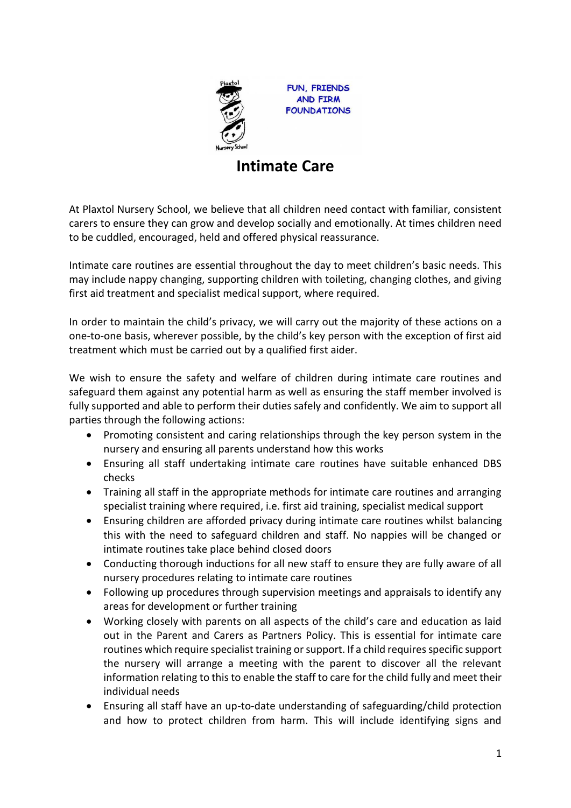

FUN, FRIENDS **AND FIRM FOUNDATIONS** 

## **Intimate Care**

At Plaxtol Nursery School, we believe that all children need contact with familiar, consistent carers to ensure they can grow and develop socially and emotionally. At times children need to be cuddled, encouraged, held and offered physical reassurance.

Intimate care routines are essential throughout the day to meet children's basic needs. This may include nappy changing, supporting children with toileting, changing clothes, and giving first aid treatment and specialist medical support, where required.

In order to maintain the child's privacy, we will carry out the majority of these actions on a one-to-one basis, wherever possible, by the child's key person with the exception of first aid treatment which must be carried out by a qualified first aider.

We wish to ensure the safety and welfare of children during intimate care routines and safeguard them against any potential harm as well as ensuring the staff member involved is fully supported and able to perform their duties safely and confidently. We aim to support all parties through the following actions:

- Promoting consistent and caring relationships through the key person system in the nursery and ensuring all parents understand how this works
- Ensuring all staff undertaking intimate care routines have suitable enhanced DBS checks
- Training all staff in the appropriate methods for intimate care routines and arranging specialist training where required, i.e. first aid training, specialist medical support
- Ensuring children are afforded privacy during intimate care routines whilst balancing this with the need to safeguard children and staff. No nappies will be changed or intimate routines take place behind closed doors
- Conducting thorough inductions for all new staff to ensure they are fully aware of all nursery procedures relating to intimate care routines
- Following up procedures through supervision meetings and appraisals to identify any areas for development or further training
- Working closely with parents on all aspects of the child's care and education as laid out in the Parent and Carers as Partners Policy. This is essential for intimate care routines which require specialist training or support. If a child requires specific support the nursery will arrange a meeting with the parent to discover all the relevant information relating to this to enable the staff to care for the child fully and meet their individual needs
- Ensuring all staff have an up-to-date understanding of safeguarding/child protection and how to protect children from harm. This will include identifying signs and